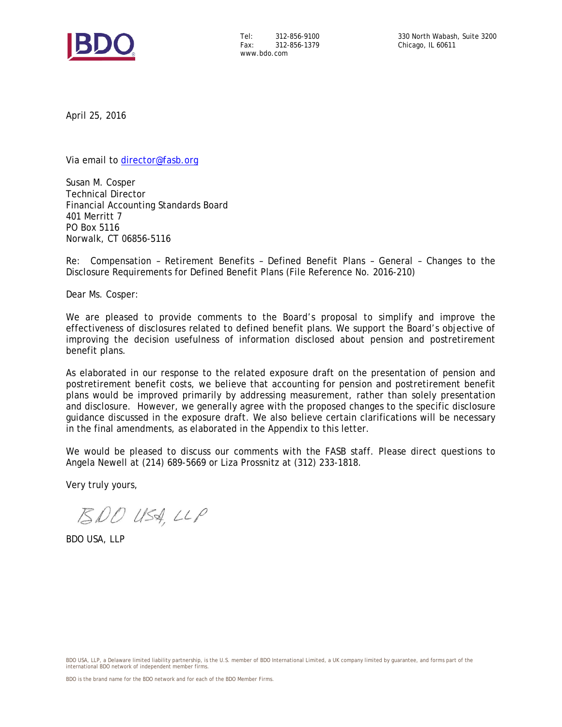

Tel: 312-856-9100 Fax: 312-856-1379 www.bdo.com

April 25, 2016

Via email to director@fasb.org

Susan M. Cosper Technical Director Financial Accounting Standards Board 401 Merritt 7 PO Box 5116 Norwalk, CT 06856-5116

Re: Compensation – Retirement Benefits – Defined Benefit Plans – General – Changes to the Disclosure Requirements for Defined Benefit Plans (File Reference No. 2016-210)

Dear Ms. Cosper:

We are pleased to provide comments to the Board's proposal to simplify and improve the effectiveness of disclosures related to defined benefit plans. We support the Board's objective of improving the decision usefulness of information disclosed about pension and postretirement benefit plans.

As elaborated in our response to the related exposure draft on the presentation of pension and postretirement benefit costs, we believe that accounting for pension and postretirement benefit plans would be improved primarily by addressing measurement, rather than solely presentation and disclosure. However, we generally agree with the proposed changes to the specific disclosure guidance discussed in the exposure draft. We also believe certain clarifications will be necessary in the final amendments, as elaborated in the Appendix to this letter.

We would be pleased to discuss our comments with the FASB staff. Please direct questions to Angela Newell at (214) 689-5669 or Liza Prossnitz at (312) 233-1818.

Very truly yours,

 $500$  USA, LLP

BDO USA, LLP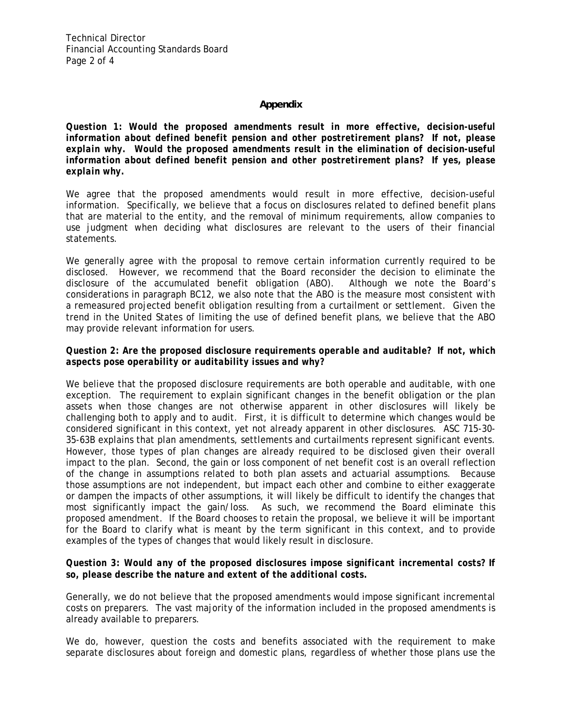# **Appendix**

*Question 1: Would the proposed amendments result in more effective, decision-useful information about defined benefit pension and other postretirement plans? If not, please explain why. Would the proposed amendments result in the elimination of decision-useful information about defined benefit pension and other postretirement plans? If yes, please explain why.* 

We agree that the proposed amendments would result in more effective, decision-useful information. Specifically, we believe that a focus on disclosures related to defined benefit plans that are material to the entity, and the removal of minimum requirements, allow companies to use judgment when deciding what disclosures are relevant to the users of their financial statements.

We generally agree with the proposal to remove certain information currently required to be disclosed. However, we recommend that the Board reconsider the decision to eliminate the disclosure of the accumulated benefit obligation (ABO). Although we note the Board's considerations in paragraph BC12, we also note that the ABO is the measure most consistent with a remeasured projected benefit obligation resulting from a curtailment or settlement. Given the trend in the United States of limiting the use of defined benefit plans, we believe that the ABO may provide relevant information for users.

# *Question 2: Are the proposed disclosure requirements operable and auditable? If not, which aspects pose operability or auditability issues and why?*

We believe that the proposed disclosure requirements are both operable and auditable, with one exception. The requirement to explain significant changes in the benefit obligation or the plan assets when those changes are not otherwise apparent in other disclosures will likely be challenging both to apply and to audit. First, it is difficult to determine which changes would be considered significant in this context, yet not already apparent in other disclosures. ASC 715-30- 35-63B explains that plan amendments, settlements and curtailments represent significant events. However, those types of plan changes are already required to be disclosed given their overall impact to the plan. Second, the gain or loss component of net benefit cost is an overall reflection of the change in assumptions related to both plan assets and actuarial assumptions. Because those assumptions are not independent, but impact each other and combine to either exaggerate or dampen the impacts of other assumptions, it will likely be difficult to identify the changes that most significantly impact the gain/loss. As such, we recommend the Board eliminate this proposed amendment. If the Board chooses to retain the proposal, we believe it will be important for the Board to clarify what is meant by the term significant in this context, and to provide examples of the types of changes that would likely result in disclosure.

### *Question 3: Would any of the proposed disclosures impose significant incremental costs? If so, please describe the nature and extent of the additional costs.*

Generally, we do not believe that the proposed amendments would impose significant incremental costs on preparers. The vast majority of the information included in the proposed amendments is already available to preparers.

We do, however, question the costs and benefits associated with the requirement to make separate disclosures about foreign and domestic plans, regardless of whether those plans use the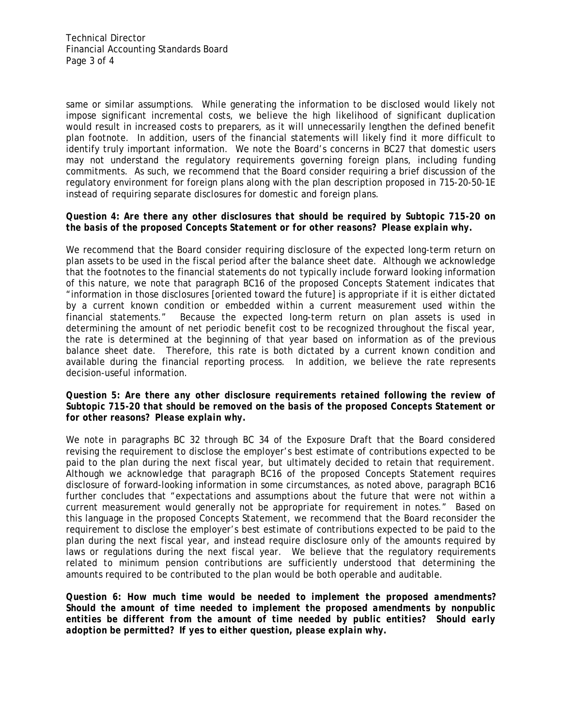same or similar assumptions. While generating the information to be disclosed would likely not impose significant incremental costs, we believe the high likelihood of significant duplication would result in increased costs to preparers, as it will unnecessarily lengthen the defined benefit plan footnote. In addition, users of the financial statements will likely find it more difficult to identify truly important information. We note the Board's concerns in BC27 that domestic users may not understand the regulatory requirements governing foreign plans, including funding commitments. As such, we recommend that the Board consider requiring a brief discussion of the regulatory environment for foreign plans along with the plan description proposed in 715-20-50-1E instead of requiring separate disclosures for domestic and foreign plans.

#### *Question 4: Are there any other disclosures that should be required by Subtopic 715-20 on the basis of the proposed Concepts Statement or for other reasons? Please explain why.*

We recommend that the Board consider requiring disclosure of the expected long-term return on plan assets to be used in the fiscal period after the balance sheet date. Although we acknowledge that the footnotes to the financial statements do not typically include forward looking information of this nature, we note that paragraph BC16 of the proposed Concepts Statement indicates that "information in those disclosures [oriented toward the future] is appropriate if it is either dictated by a current known condition or embedded within a current measurement used within the financial statements." Because the expected long-term return on plan assets is used in determining the amount of net periodic benefit cost to be recognized throughout the fiscal year, the rate is determined at the beginning of that year based on information as of the previous balance sheet date. Therefore, this rate is both dictated by a current known condition and available during the financial reporting process. In addition, we believe the rate represents decision-useful information.

### *Question 5: Are there any other disclosure requirements retained following the review of Subtopic 715-20 that should be removed on the basis of the proposed Concepts Statement or for other reasons? Please explain why.*

We note in paragraphs BC 32 through BC 34 of the Exposure Draft that the Board considered revising the requirement to disclose the employer's best estimate of contributions expected to be paid to the plan during the next fiscal year, but ultimately decided to retain that requirement. Although we acknowledge that paragraph BC16 of the proposed Concepts Statement requires disclosure of forward-looking information in some circumstances, as noted above, paragraph BC16 further concludes that "expectations and assumptions about the future that were not within a current measurement would generally not be appropriate for requirement in notes." Based on this language in the proposed Concepts Statement, we recommend that the Board reconsider the requirement to disclose the employer's best estimate of contributions expected to be paid to the plan during the next fiscal year, and instead require disclosure only of the amounts required by laws or regulations during the next fiscal year. We believe that the regulatory requirements related to minimum pension contributions are sufficiently understood that determining the amounts required to be contributed to the plan would be both operable and auditable.

*Question 6: How much time would be needed to implement the proposed amendments? Should the amount of time needed to implement the proposed amendments by nonpublic entities be different from the amount of time needed by public entities? Should early adoption be permitted? If yes to either question, please explain why.*